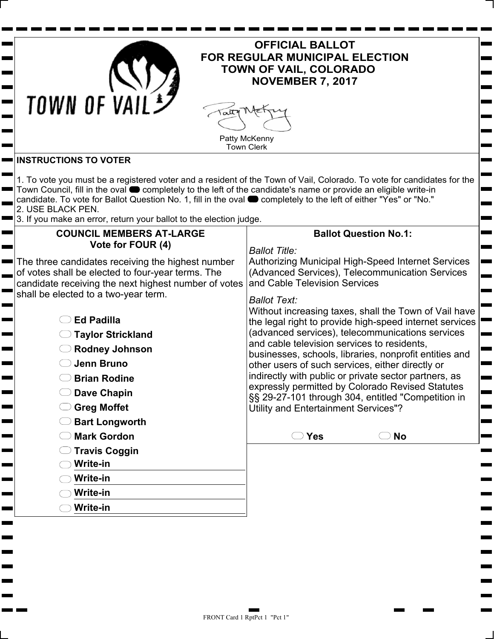